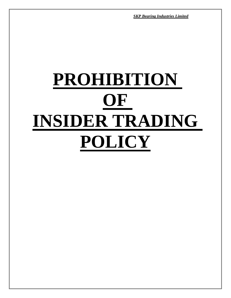# **PROHIBITION OF INSIDER TRADING POLICY**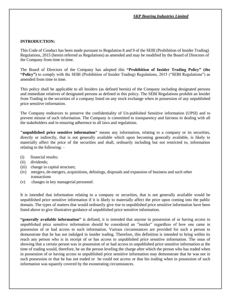#### **INTRODUCTION:**

This Code of Conduct has been made pursuant to Regulation 8 and 9 of the SEBI (Prohibition of Insider Trading) Regulations, 2015 (herein referred as Regulations) as amended and may be modified by the Board of Directors of the Company from time to time.

The Board of Directors of the Company has adopted this **"Prohibition of Insider Trading Policy" (the "Policy")** to comply with the SEBI (Prohibition of Insider Trading) Regulations, 2015 ("SEBI Regulations") as amended from time to time.

This policy shall be applicable to all Insiders (as defined herein) of the Company including designated persons and immediate relatives of designated persons as defined in this policy. The SEBI Regulations prohibit an Insider from Trading in the securities of a company listed on any stock exchange when in possession of any unpublished price sensitive information.

The Company endeavors to preserve the confidentiality of Un-published Sensitive information (UPSI) and to prevent misuse of such information. The Company is committed to transparency and fairness in dealing with all the stakeholders and in ensuring adherence to all laws and regulations.

**"unpublished price sensitive information"** means any information, relating to a company or its securities, directly or indirectly, that is not generally available which upon becoming generally available, is likely to materially affect the price of the securities and shall, ordinarily including but not restricted to, information relating to the following: –

- (i) financial results;
- (ii) dividends;
- (iii) change in capital structure;
- (iv) mergers, de-mergers, acquisitions, delistings, disposals and expansion of business and such other transactions
- (v) changes in key managerial personnel.

It is intended that information relating to a company or securities, that is not generally available would be unpublished price sensitive information if it is likely to materially affect the price upon coming into the public domain. The types of matters that would ordinarily give rise to unpublished price sensitive information have been listed above to give illustrative guidance of unpublished price sensitive information.

**"generally available information"** is defined, it is intended that anyone in possession of or having access to unpublished price sensitive information should be considered an "insider" regardless of how one came in possession of or had access to such information. Various circumstances are provided for such a person to demonstrate that he has not indulged in insider trading. Therefore, this definition is intended to bring within its reach any person who is in receipt of or has access to unpublished price sensitive information. The onus of showing that a certain person was in possession of or had access to unpublished price sensitive information at the time of trading would, therefore, be on the person leveling the charge after which the person who has traded when in possession of or having access to unpublished price sensitive information may demonstrate that he was not in such possession or that he has not traded or he could not access or that his trading when in possession of such information was squarely covered by the exonerating circumstances.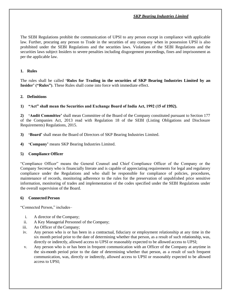The SEBI Regulations prohibit the communication of UPSI to any person except in compliance with applicable law. Further, procuring any person to Trade in the securities of any company when in possession UPSI is also prohibited under the SEBI Regulations and the securities laws. Violations of the SEBI Regulations and the securities laws subject Insiders to severe penalties including disgorgement proceedings, fines and imprisonment as per the applicable law.

## **1. Rules**

The rules shall be called **'Rules for Trading in the securities of SKP Bearing Industries Limited by an Insider' ("Rules")**. These Rules shall come into force with immediate effect.

### **2. Definitions**

**1) "Act" shall mean the Securities and Exchange Board of India Act, 1992 (15 of 1992).**

**2) 'Audit Committee'** shall mean Committee of the Board of the Company constituted pursuant to Section 177 of the Companies Act, 2013 read with Regulation 18 of the SEBI (Listing Obligations and Disclosure Requirements) Regulations, 2015.

- **3) 'Board'** shall mean the Board of Directors of SKP Bearing Industries Limited.
- **4) 'Company'** means SKP Bearing Industries Limited.

#### **5) Compliance Officer**

"Compliance Officer" means the General Counsel and Chief Compliance Officer of the Company or the Company Secretary who is financially literate and is capable of appreciating requirements for legal and regulatory compliance under the Regulations and who shall be responsible for compliance of policies, procedures, maintenance of records, monitoring adherence to the rules for the preservation of unpublished price sensitive information, monitoring of trades and implementation of the codes specified under the SEBI Regulations under the overall supervision of the Board.

#### **6) Connected Person**

"Connected Person," includes–

- i. A director of the Company;
- ii. A Key Managerial Personnel of the Company;
- iii. An Officer of theCompany;
- iv. Any person who is or has been in a contractual, fiduciary or employment relationship at any time in the six month period prior to the date of determining whether that person, as a result of such relationship, was, directly or indirectly, allowed access to UPSI or reasonably expected to be allowed access to UPSI;
- v. Any person who is or has been in frequent communication with an Officer of the Company at anytime in the six-month period prior to the date of determining whether that person, as a result of such frequent communication, was, directly or indirectly, allowed access to UPSI or reasonably expected to be allowed access to UPSI;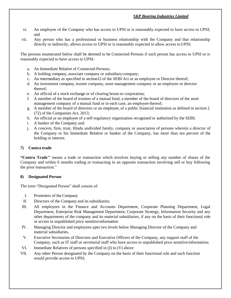- vi. An employee of the Company who has access to UPSI or is reasonably expected to have access to UPSI; and
- vii. Any person who has a professional or business relationship with the Company and that relationship directly or indirectly, allows access to UPSI or is reasonably expected to allow access to UPSI;

The persons enumerated below shall be deemed to be Connected Persons if such person has access to UPSI or is reasonably expected to have access to UPSI-

- a. An Immediate Relative of Connected Persons;
- b. A holding company, associate company or subsidiarycompany;
- c. An intermediary as specified in section12 of the SEBI Act or an employee or Director thereof;
- d. An investment company, trustee company, asset management company or an employee or director thereof;
- e. An official of a stock exchange or of clearing house or corporation;
- f. A member of the board of trustees of a mutual fund, a member of the board of directors of the asset management company of a mutual fund or in each case, an employee thereof;
- g. A member of the board of directors or an employee, of a public financial institution as defined in section 2 (72) of the Companies Act, 2013;
- h. An official or an employee of a self-regulatory organization recognized or authorized by the SEBI;
- i. A banker of the Company; and
- j. A concern, firm, trust, Hindu undivided family, company or association of persons wherein a director of the Company or his Immediate Relative or banker of the Company, has more than ten percent of the holding or interest.

### **7) Contra trade**

**"Contra Trade''** means a trade or transaction which involves buying or selling any number of shares of the Company and within 6 months trading or transacting in an opposite transaction involving sell or buy following the prior transaction."

#### **8) Designated Person**

The term "Designated Person" shall consist of:

- I. Promoters of the Company
- II. Directors of the Company and its subsidiaries;
- III. All employees in the Finance and Accounts Department, Corporate Planning Department, Legal Department, Enterprise Risk Management Department, Corporate Strategy, Information Security and any other departments of the company and its material subsidiaries, if any on the basis of their functional role or access to unpublished price sensitive information
- IV. Managing Director and employees upto two levels below Managing Director of the Company and material subsidiaries.
- V. Executive Secretaries of Directors and Executive Officers of the Company, any support staff of the Company, such as IT staff or secretarial staff who have access to unpublished price sensitive information;
- VI. Immediate Relatives of persons specified in (I) to (V) above
- VII. Any other Person designated by the Company on the basis of their functional role and such function would provide access to UPSI;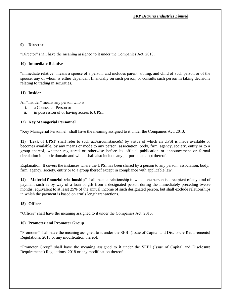## **9) Director**

"Director" shall have the meaning assigned to it under the Companies Act, 2013.

#### **10) Immediate Relative**

"immediate relative" means a spouse of a person, and includes parent, sibling, and child of such person or of the spouse, any of whom is either dependent financially on such person, or consults such person in taking decisions relating to trading in securities.

#### **11) Insider**

An "Insider" means any person who is:

- i. a Connected Person or
- ii. in possession of or having access toUPSI.

### **12) Key Managerial Personnel**

"Key Managerial Personnel" shall have the meaning assigned to it under the Companies Act, 2013.

**13) 'Leak of UPSI'** shall refer to such act/circumstance(s) by virtue of which an UPSI is made available or becomes available, by any means or mode to any person, association, body, firm, agency, society, entity or to a group thereof, whether registered or otherwise before its official publication or announcement or formal circulation in public domain and which shall also include any purported attempt thereof.

Explanation: It covers the instances where the UPSI has been shared by a person to any person, association, body, firm, agency, society, entity or to a group thereof except in compliance with applicable law.

**14) "Material financial relationship**" shall mean a relationship in which one person is a recipient of any kind of payment such as by way of a loan or gift from a designated person during the immediately preceding twelve months, equivalent to at least 25% of the annual income of such designated person, but shall exclude relationships in which the payment is based on arm's length transactions.

#### **15) Officer**

"Officer" shall have the meaning assigned to it under the Companies Act, 2013.

#### **16) Promoter and Promoter Group**

"Promoter" shall have the meaning assigned to it under the SEBI (Issue of Capital and Disclosure Requirements) Regulations, 2018 or any modification thereof.

"Promoter Group" shall have the meaning assigned to it under the SEBI (Issue of Capital and Disclosure Requirements) Regulations, 2018 or any modification thereof.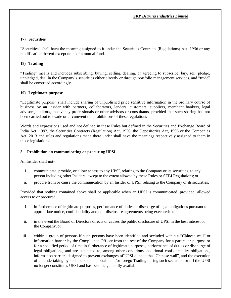## **17) Securities**

"Securities" shall have the meaning assigned to it under the Securities Contracts (Regulations) Act, 1956 or any modification thereof except units of a mutual fund.

### **18) Trading**

"Trading" means and includes subscribing, buying, selling, dealing, or agreeing to subscribe, buy, sell, pledge, unpledged, deal in the Company's securities either directly or through portfolio management services, and "trade" shall be construed accordingly.

### **19) Legitimate purpose**

"Legitimate purpose" shall include sharing of unpublished price sensitive information in the ordinary course of business by an insider with partners, collaborators, lenders, customers, suppliers, merchant bankers, legal advisors, auditors, insolvency professionals or other advisors or consultants, provided that such sharing has not been carried out to evade or circumvent the prohibitions of these regulations

Words and expressions used and not defined in these Rules but defined in the Securities and Exchange Board of India Act, 1992, the Securities Contracts (Regulation) Act, 1956, the Depositories Act, 1996 or the Companies Act, 2013 and rules and regulations made there under shall have the meanings respectively assigned to them in those legislations.

#### **3. Prohibition on communicating or procuring UPSI**

An Insider shall not–

- i. communicate, provide, or allow access to any UPSI, relating to the Company or its securities, to any person including other Insiders, except to the extent allowed by these Rules or SEBI Regulations; or
- ii. procure from or cause the communication by an Insider of UPSI, relating to the Company or itssecurities.

Provided that nothing contained above shall be applicable when an UPSI is communicated, provided, allowed access to or procured:

- i. in furtherance of legitimate purposes, performance of duties or discharge of legal obligations pursuant to appropriate notice, confidentiality and non-disclosure agreements being executed; or
- ii. in the event the Board of Directors directs or causes the public disclosure of UPSI in the best interest of the Company; or
- iii. within a group of persons if such persons have been identified and secluded within a "Chinese wall" or information barrier by the Compliance Officer from the rest of the Company for a particular purpose or for a specified period of time in furtherance of legitimate purposes, performance of duties or discharge of legal obligations, and are subjected to, among other conditions, additional confidentiality obligations, information barriers designed to prevent exchanges of UPSI outside the "Chinese wall", and the execution of an undertaking by such persons to abstain and/or forego Trading during such seclusion or till the UPSI no longer constitutes UPSI and has become generally available.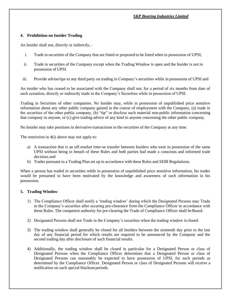#### **4. Prohibition on Insider Trading**

An Insider shall not, directly or indirectly,–

- i. Trade in securities of the Company that are listed or proposed to be listed when in possession of UPSI;
- ii. Trade in securities of the Company except when the Trading Window is open and the Insider is not in possession of UPSI.
- iii. Provide advise/tips to any third party on trading in Company's securities while in possession of UPSI and

An insider who has ceased to be associated with the Company shall not, for a period of six months from date of such cessation, directly or indirectly trade in the Company's Securities while in possession of UPSI.

Trading in Securities of other companies. No Insider may, while in possession of unpublished price sensitive information about any other public company gained in the course of employment with the Company, (a) trade in the securities of the other public company, (b) "tip" or disclose such material non-public information concerning that company to anyone, or (c) give trading advice of any kind to anyone concerning the other public company.

No Insider may take positions in derivative transactions in the securities of the Company at any time.

The restriction in 4(i) above may not apply to:

- a) A transaction that is an off-market inter-se transfer between Insiders who were in possession of the same UPSI without being in breach of these Rules and both parties had made a conscious and informed trade decision; and
- b) Trades pursuant to a Trading Plan set up in accordance with these Rules and SEBI Regulations.

When a person has traded in securities while in possession of unpublished price sensitive information, his trades would be presumed to have been motivated by the knowledge and awareness of such information in his possession.

## **5. Trading Window**

- 1) The Compliance Officer shall notify a 'trading window' during which the Designated Persons may Trade in the Company's securities after securing pre-clearance from the Compliance Officer in accordance with these Rules. The competent authority for pre-clearing the Trade of Compliance Officer shall be Board.
- 2) Designated Persons shall not Trade in the Company's securities when the trading window is closed.
- 3) The trading window shall generally be closed for all Insiders between the sixteenth day prior to the last day of any financial period for which results are required to be announced by the Company and the second trading day after disclosure of such financial results.
- 4) Additionally, the trading window shall be closed in particular for a Designated Person or class of Designated Persons when the Compliance Officer determines that a Designated Person or class of Designated Persons can reasonably be expected to have possession of UPSI, for such periods as determined by the Compliance Officer. Designated Person or class of Designated Persons will receive a notification on such special blackout periods.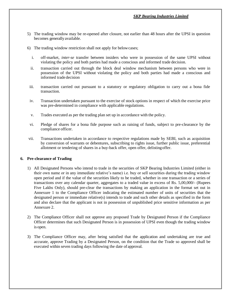- 5) The trading window may be re-opened after closure, not earlier than 48 hours after the UPSI in question becomes generally available.
- 6) The trading window restriction shall not apply for belowcases;
	- i. off-market, *inter-se* transfer between insiders who were in possession of the same UPSI without violating the policy and both parties had made a conscious and informed trade decision.
	- ii. transaction carried out through the block deal window mechanism between persons who were in possession of the UPSI without violating the policy and both parties had made a conscious and informed trade decision
- iii. transaction carried out pursuant to a statutory or regulatory obligation to carry out a bona fide transaction.
- iv. Transaction undertaken pursuant to the exercise of stock options in respect of which the exercise price was pre-determined in compliance with applicable regulations.
- v. Trades executed as per the trading plan set up in accordance with the policy.
- vi. Pledge of shares for a bona fide purpose such as raising of funds, subject to pre-clearance by the compliance officer.
- vii. Transactions undertaken in accordance to respective regulations made by SEBI, such as acquisition by conversion of warrants or debentures, subscribing to rights issue, further public issue, preferential allotment or tendering of shares in a buy-back offer, open offer, delistingoffer.

#### **6. Pre-clearance of Trading**

- 1) All Designated Persons who intend to trade in the securities of SKP Bearing Industries Limited (either in their own name or in any immediate relative's name) i.e. buy or sell securities during the trading window open period and if the value of the securities likely to be traded, whether in one transaction or a series of transactions over any calendar quarter, aggregates to a traded value in excess of Rs. 5,00,000/- (Rupees Five Lakhs Only), should pre-clear the transactions by making an application in the format set out in Annexure 1 to the Compliance Officer indicating the estimated number of units of securities that the designated person or immediate relative(s) intends to trade and such other details as specified in the form and also declare that the applicant is not in possession of unpublished price sensitive information as per Annexure 2.
- 2) The Compliance Officer shall not approve any proposed Trade by Designated Person if the Compliance Officer determines that such Designated Person is in possession of UPSI even though the trading window is open.
- 3) The Compliance Officer may, after being satisfied that the application and undertaking are true and accurate, approve Trading by a Designated Person, on the condition that the Trade so approved shall be executed within seven trading days following the date of approval.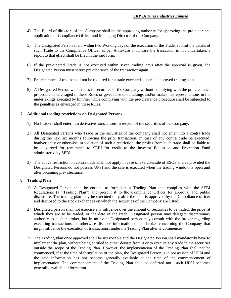- 4) The Board of directors of the Company shall be the approving authority for approving the pre-clearance application of Compliance Officer and Managing Director of the Company.
- 5) The Designated Person shall, within two Working days of the execution of the Trade, submit the details of such Trade to the Compliance Officer as per Annexure 3. In case the transaction is not undertaken, a report to that effect shall be filed in the said form.
- 6) If the pre-cleared Trade is not executed within seven trading days after the approval is given, the Designated Person must secure pre-clearance of the transaction again.
- 7) Pre-clearance of trades shall not be required for a trade executed as per an approved trading plan.
- 8) A Designated Person who Trades in securities of the Company without complying with the pre-clearance procedure as envisaged in these Rules or gives false undertakings and/or makes misrepresentations in the undertakings executed by him/her while complying with the pre-clearance procedure shall be subjected to the penalties as envisaged in these Rules.

### **7. Additional trading restrictions on Designated Persons**

- 1) No Insiders shall enter into derivative transactions in respect of the securities of the Company.
- 2) All Designated Persons who Trade in the securities of the company shall not enter into a contra trade during the next six months following the prior transaction. In case of any contra trade be executed, inadvertently or otherwise, in violation of such a restriction, the profits from such trade shall be liable to be disgorged for remittance to SEBI for credit to the Investor Education and Protection Fund administered by SEBI.
- 3) The above restriction on contra trade shall not apply in case of exercise/sale of ESOP shares provided the Designated Persons do not possess UPSI and the sale is executed when the trading window is open and after obtaining pre- clearance.

#### **8. Trading Plan**

- 1) A Designated Person shall be entitled to formulate a Trading Plan that complies with the SEBI Regulations (a "Trading Plan") and present it to the Compliance Officer for approval and public disclosure. The trading plan may be executed only after the plan is approved by the Compliance officer and disclosed to the stock exchanges on which the securities of the Company are listed.
- 2) Designated person shall not exercise any influence over the amount of Securities to be traded, the price at which they are to be traded, or the date of the trade. Designated person may delegate discretionary authority to his/her broker, but in no event Designated person may consult with the broker regarding executing transactions, or otherwise disclose information to the broker concerning the Company that might influence the execution of transactions, under the Trading Plan after it commences.
- 3) The Trading Plan once approved shall be irrevocable and the Designated Person shall mandatorily have to implement the plan, without being entitled to either deviate from it or to execute any trade in the securities outside the scope of the Trading Plan. However, the implementation of the Trading Plan shall not be commenced, if at the time of formulation of the plan, the Designated Person is in possession of UPSI and the said information has not become generally available at the time of the commencement of implementation. The commencement of the Trading Plan shall be deferred until such UPSI becomes generally available information.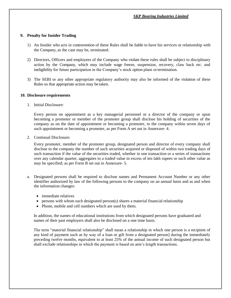#### **9. Penalty for Insider Trading**

- 1) An Insider who acts in contravention of these Rules shall be liable to have his services or relationship with the Company, as the case may be, terminated.
- 2) Directors, Officers and employees of the Company who violate these rules shall be subject to disciplinary action by the Company, which may include wage freeze, suspension, recovery, claw back etc. and ineligibility for future participation in the Company's stock option plans ortermination.
- 3) The SEBI or any other appropriate regulatory authority may also be informed of the violation of these Rules so that appropriate action may be taken.

#### **10. Disclosure requirements**

1. Initial Disclosure:

Every person on appointment as a key managerial personnel or a director of the company or upon becoming a promoter or member of the promoter group shall disclose his holding of securities of the company as on the date of appointment or becoming a promoter, to the company within seven days of such appointment or becoming a promoter, as per Form A set out in Annexure- 4.

2. Continual Disclosure:

Every promoter, member of the promoter group, designated person and director of every company shall disclose to the company the number of such securities acquired or disposed of within two trading days of such transaction if the value of the securities traded, whether in one transaction or a series of transactions over any calendar quarter, aggregates to a traded value in excess of ten lakh rupees or such other value as may be specified; as per Form B set out in Annexure- 5.

- a. Designated persons shall be required to disclose names and Permanent Account Number or any other identifier authorized by law of the following persons to the company on an annual basis and as and when the information changes:
	- immediate relatives
	- $\bullet$  persons with whom such designated person(s) shares a material financial relationship
	- Phone, mobile and cell numbers which are used by them.

In addition, the names of educational institutions from which designated persons have graduated and names of their past employers shall also be disclosed on a one time basis.

The term "material financial relationship" shall mean a relationship in which one person is a recipient of any kind of payment such as by way of a loan or gift from a designated person] during the immediately preceding twelve months, equivalent to at least 25% of the annual income of such designated person but shall exclude relationships in which the payment is based on arm's length transactions.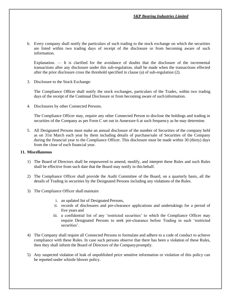b. Every company shall notify the particulars of such trading to the stock exchange on which the securities are listed within two trading days of receipt of the disclosure or from becoming aware of such information.

Explanation. — It is clarified for the avoidance of doubts that the disclosure of the incremental transactions after any disclosure under this sub-regulation, shall be made when the transactions effected after the prior disclosure cross the threshold specified in clause (a) of sub-regulation (2).

3. Disclosure to the Stock Exchange:

The Compliance Officer shall notify the stock exchanges, particulars of the Trades, within two trading days of the receipt of the Continual Disclosure or from becoming aware of such information.

4. Disclosures by other Connected Persons.

The Compliance Officer may, require any other Connected Person to disclose the holdings and trading in securities of the Company as per Form C set out in Annexure 6 at such frequency as he may determine.

5. All Designated Persons must make an annual disclosure of the number of Securities of the company held as on 31st March each year by them including details of purchase/sale of Securities of the Company during the financial year to the Compliance Officer. This disclosure must be made within 30 (thirty) days from the close of each financial year.

#### **11. Miscellaneous**

- 1) The Board of Directors shall be empowered to amend, modify, and interpret these Rules and such Rules shall be effective from such date that the Board may notify in this behalf.
- 2) The Compliance Officer shall provide the Audit Committee of the Board, on a quarterly basis, all the details of Trading in securities by the Designated Persons including any violations of the Rules.
- 3) The Compliance Officer shall maintain
	- i. an updated list of Designated Persons,
	- ii. records of disclosures and pre-clearance applications and undertakings for a period of five years and
	- iii. a confidential list of any 'restricted securities' to which the Compliance Officer may require Designated Persons to seek pre-clearance before Trading in such 'restricted securities'.
- 4) The Company shall require all Connected Persons to formulate and adhere to a code of conduct to achieve compliance with these Rules. In case such persons observe that there has been a violation of these Rules, then they shall inform the Board of Directors of the Companypromptly.
- 5) Any suspected violation of leak of unpublished price sensitive information or violation of this policy can be reported under whistle blower policy.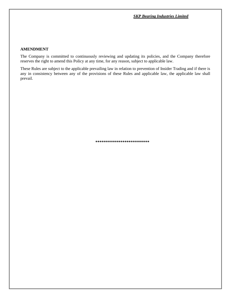#### **AMENDMENT**

The Company is committed to continuously reviewing and updating its policies, and the Company therefore reserves the right to amend this Policy at any time, for any reason, subject to applicable law.

These Rules are subject to the applicable prevailing law in relation to prevention of Insider Trading and if there is any in consistency between any of the provisions of these Rules and applicable law, the applicable law shall prevail.

**\*\*\*\*\*\*\*\*\*\*\*\*\*\*\*\*\*\*\*\*\*\*\*\*\*\***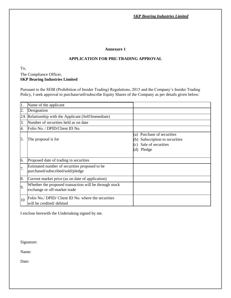#### **Annexure 1**

## **APPLICATION FOR PRE-TRADING APPROVAL**

To,

## The Compliance Officer,  **SKP Bearing Industries Limited**

Pursuant to the SEBI (Prohibition of Insider Trading) Regulations, 2015 and the Company's Insider Trading Policy, I seek approval to purchase/sell/subscribe Equity Shares of the Company as per details given below:

| 11.              | Name of the applicant                                                                  |                                                                                                            |
|------------------|----------------------------------------------------------------------------------------|------------------------------------------------------------------------------------------------------------|
| $\overline{2}$ . | Designation                                                                            |                                                                                                            |
| 2A               | Relationship with the Applicant (Self/Immediate)                                       |                                                                                                            |
| 3.               | Number of securities held as on date                                                   |                                                                                                            |
| 4.               | Folio No. / DPID/Client ID No.                                                         |                                                                                                            |
| 5.               | The proposal is for                                                                    | (a) Purchase of securities<br>Subscription to securities<br>(b)<br>Sale of securities<br>(c)<br>(d) Pledge |
| 6.               | Proposed date of trading in securities                                                 |                                                                                                            |
| 7.               | Estimated number of securities proposed to be<br>purchased/subscribed/sold/pledge      |                                                                                                            |
| 8.               | Current market price (as on date of application)                                       |                                                                                                            |
| 9.               | Whether the proposed transaction will be through stock<br>exchange or off-market trade |                                                                                                            |
| 10               | Folio No./ DPID/ Client ID No. where the securities<br>will be credited/debited        |                                                                                                            |

I enclose herewith the Undertaking signed by me.

Signature:

Name:

Date: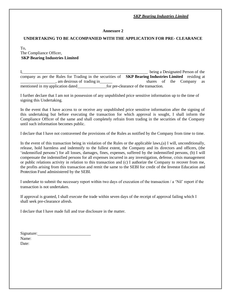## **Annexure 2**

### **UNDERTAKING TO BE ACCOMPANIED WITH THE APPLICATION FOR PRE- CLEARANCE**

#### To, The Compliance Officer,  **SKP Bearing Industries Limited**

I, the contract of the contract of the contract of the being a Designated Person of the contract of the contract of the contract of the contract of the contract of the contract of the contract of the contract of the contra company as per the Rules for Trading in the securities of **SKP Bearing Industries Limited** residing at , am desirous of trading in shares of the Company as mentioned in my application dated for pre-clearance of the transaction.

I further declare that I am not in possession of any unpublished price sensitive information up to the time of signing this Undertaking.

In the event that I have access to or receive any unpublished price sensitive information after the signing of this undertaking but before executing the transaction for which approval is sought, I shall inform the Compliance Officer of the same and shall completely refrain from trading in the securities of the Company until such information becomes public.

I declare that I have not contravened the provisions of the Rules as notified by the Company from time to time.

In the event of this transaction being in violation of the Rules or the applicable laws,(a) I will, unconditionally, release, hold harmless and indemnify to the fullest extent, the Company and its directors and officers, (the 'indemnified persons') for all losses, damages, fines, expenses, suffered by the indemnified persons, (b) I will compensate the indemnified persons for all expenses incurred in any investigation, defense, crisis management or public relations activity in relation to this transaction and (c) I authorize the Company to recover from me, the profits arising from this transaction and remit the same to the SEBI for credit of the Investor Education and Protection Fund administered by the SEBI.

I undertake to submit the necessary report within two days of execution of the transaction / a 'Nil' report if the transaction is not undertaken.

If approval is granted, I shall execute the trade within seven days of the receipt of approval failing which I shall seek pre-clearance afresh.

I declare that I have made full and true disclosure in the matter.

| Signature: |  |  |
|------------|--|--|
| Name:      |  |  |
| Date:      |  |  |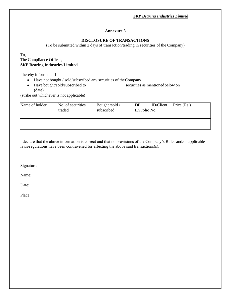#### **Annexure 3**

# **DISCLOSURE OF TRANSACTIONS**

(To be submitted within 2 days of transaction/trading in securities of the Company)

To, The Compliance Officer, **SKP Bearing Industries Limited**

I hereby inform that I

- Have not bought / sold/subscribed any securities of the Company
- Have bought/sold/subscribed to securities as mentioned below on (date)

(strike out whichever is not applicable)

| Name of holder | No. of securities | Bought /sold / | DP           | <b>ID/Client</b> | Price (Rs.) |
|----------------|-------------------|----------------|--------------|------------------|-------------|
|                | traded            | subscribed     | ID/Folio No. |                  |             |
|                |                   |                |              |                  |             |
|                |                   |                |              |                  |             |
|                |                   |                |              |                  |             |

I declare that the above information is correct and that no provisions of the Company's Rules and/or applicable laws/regulations have been contravened for effecting the above said transactions(s).

Signature:

Name:

Date: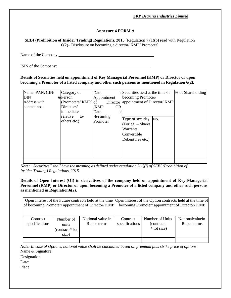## **Annexure 4 FORM A**

**SEBI (Prohibition of Insider Trading) Regulations, 2015** [Regulation 7 (1)(b) read with Regulation 6(2)– Disclosure on becoming a director/ KMP/ Promoter]

Name of the Company:

ISIN of theCompany:

**Details of Securities held on appointment of Key Managerial Personnel (KMP) or Director or upon becoming a Promoter of a listed company and other such persons as mentioned in Regulation 6(2).**

| Name, PAN, CIN/ | Category of     | Date                   | of Securities held at the time of     | % of Shareholding |
|-----------------|-----------------|------------------------|---------------------------------------|-------------------|
| DIN             | &Person         | Appointment            | becoming Promoter/                    |                   |
| Address with    | (Promoters/KMP/ | $\overline{\text{of}}$ | Director appointment of Director/ KMP |                   |
| contact nos.    | Directors/      | /KMP<br><b>OR</b>      |                                       |                   |
|                 | immediate       | Date<br>Оt             |                                       |                   |
|                 | relative<br>to/ | Becoming               |                                       |                   |
|                 | others etc.)    | Promoter               | Type of security No.                  |                   |
|                 |                 |                        | (For eg. – Shares,                    |                   |
|                 |                 |                        | Warrants,                             |                   |
|                 |                 |                        | Convertible                           |                   |
|                 |                 |                        | Debentures etc.)                      |                   |
|                 |                 |                        |                                       |                   |
|                 |                 |                        |                                       |                   |
|                 |                 |                        |                                       |                   |
|                 |                 |                        |                                       |                   |

*Note: "Securities" shall have the meaning as defined under regulation 2(1)(i) of SEBI (Prohibition of Insider Trading) Regulations, 2015.*

**Details of Open Interest (OI) in derivatives of the company held on appointment of Key Managerial Personnel (KMP) or Director or upon becoming a Promoter of a listed company and other such persons as mentioned in Regulation6(2).**

|                |                             | Open Interest of the Future contracts held at the time   Open Interest of the Option contracts held at the time of |                |                                                 |                 |
|----------------|-----------------------------|--------------------------------------------------------------------------------------------------------------------|----------------|-------------------------------------------------|-----------------|
|                |                             | of becoming Promoter/ appointment of Director/ KMP                                                                 |                | becoming Promoter/ appointment of Director/ KMP |                 |
|                |                             |                                                                                                                    |                |                                                 |                 |
| Contract       | Number of                   | Notional value in                                                                                                  | Contract       | Number of Units                                 | Notionalvaluein |
| specifications | units                       | Rupee terms                                                                                                        | specifications | (contracts)                                     | Rupee terms     |
|                | (contracts <sup>*</sup> lot |                                                                                                                    |                | * lot size)                                     |                 |
|                | size)                       |                                                                                                                    |                |                                                 |                 |
|                |                             |                                                                                                                    |                |                                                 |                 |

*Note: In case of Options, notional value shall be calculated based on premium plus strike price of options* Name & Signature:

Designation:

Date: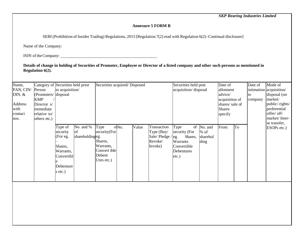# **Annexure 5 FORM B**

SEBI (Prohibition of Insider Trading) Regulations, 2015 [Regulation 7(2) read with Regulation 6(2)–Continual disclosure]

Name of the Company:

ISIN of theCompany:

**Details of change in holding of Securities of Promoter, Employee or Director of a listed company and other such persons as mentioned in Regulation 6(2).**

| Name,<br>PAN, CIN/<br>DIN, $&$<br>Address<br>with<br>contact<br>nos. | Category of Securities held prior<br>to acquisition/<br>Person<br>(Promoters/ disposal)<br><b>KMP</b><br>Director s/<br>immediate<br>relative to/<br>others etc.) |                                                                                               |                                    | Securities acquired/Disposed                                                         |       |       |                                                                      | Securities held post<br>acquisition/disposal                                                |                                     | Date of<br>allotment<br>advice/<br>acquisition of<br>shares/ sale of<br><b>Shares</b><br>specify |    | Date of<br><sub>to</sub><br>company | Mode of<br>intimation acquisition/<br>disposal (on<br>market/<br>public/rights/<br>preferential<br>offer/ off-<br>market/Inter-<br>se transfer, |
|----------------------------------------------------------------------|-------------------------------------------------------------------------------------------------------------------------------------------------------------------|-----------------------------------------------------------------------------------------------|------------------------------------|--------------------------------------------------------------------------------------|-------|-------|----------------------------------------------------------------------|---------------------------------------------------------------------------------------------|-------------------------------------|--------------------------------------------------------------------------------------------------|----|-------------------------------------|-------------------------------------------------------------------------------------------------------------------------------------------------|
|                                                                      |                                                                                                                                                                   | Type of<br>security<br>(For eg.<br>Shares,<br>Warrants,<br>Convertibl<br>Debenture<br>s etc.) | No. and %<br>of<br>shareholdingeg. | Type<br>security(For<br>Shares,<br>Warrants,<br>Convert ible<br>Debent<br>Ures etc.) | ofNo. | Value | Transaction<br>Type (Buy/<br>Sale/Pledge / eg.<br>Revoke/<br>Invoke) | of<br>Type<br>security (For<br>Shares,<br>Warrants<br>Convertible<br>Debentures<br>$etc.$ ) | No. and<br>% of<br>sharehol<br>ding | From                                                                                             | To |                                     | ESOPs etc.)                                                                                                                                     |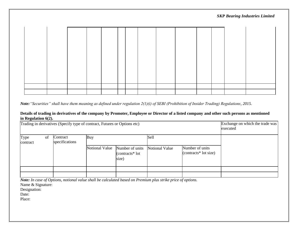*Note:"Securities" shall have them meaning as defined under regulation 2(1)(i) of SEBI (Prohibition of Insider Trading) Regulations, 2015.*

#### **Details of trading in derivatives of the company by Promoter, Employee or Director of a listed company and other such persons as mentioned in Regulation 6(2).**

| Trading in derivatives (Specify type of contract, Futures or Options etc) |    | Exchange on which the trade was<br>executed |                |                                             |                |                                             |  |
|---------------------------------------------------------------------------|----|---------------------------------------------|----------------|---------------------------------------------|----------------|---------------------------------------------|--|
| Type<br>contract                                                          | of | Contract<br>specifications                  | Buy            |                                             | Sell           |                                             |  |
|                                                                           |    |                                             | Notional Value | Number of units<br>(contracts* lot<br>size) | Notional Value | Number of units<br>(contracts $*$ lot size) |  |
|                                                                           |    |                                             |                |                                             |                |                                             |  |
|                                                                           |    |                                             |                |                                             |                |                                             |  |

*Note: In case of Options, notional value shall be calculated based on Premium plus strike price of options.*

Name & Signature:

Designation:

Date: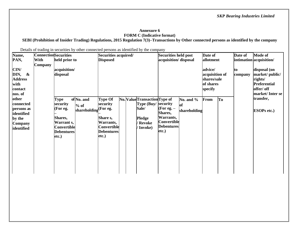#### **Annexure 6 FORM C (Indicative format)**

**SEBI (Prohibition of Insider Trading) Regulations, 2015 Regulation 7(3)–Transactions by Other connected persons as identified by the company**

Details of trading in securities by other connected persons as identified by the company

| Name,                                                                             | <b>Connection</b> Securities |                                                                                                           |                                      | Securities acquired/                                                                                                |  |  | Securities held post                                                                                     |                                                                                   | Date of                                                          |           | Date of                                                                         | <b>Mode of</b>                    |                                 |
|-----------------------------------------------------------------------------------|------------------------------|-----------------------------------------------------------------------------------------------------------|--------------------------------------|---------------------------------------------------------------------------------------------------------------------|--|--|----------------------------------------------------------------------------------------------------------|-----------------------------------------------------------------------------------|------------------------------------------------------------------|-----------|---------------------------------------------------------------------------------|-----------------------------------|---------------------------------|
| PAN,                                                                              | With<br>Company              | held prior to                                                                                             |                                      | <b>Disposed</b>                                                                                                     |  |  |                                                                                                          | acquisition/ disposal                                                             |                                                                  | allotment |                                                                                 |                                   | intimation acquisition/         |
| CIN/<br>DIN,<br>$\boldsymbol{\&}$<br><b>Address</b><br>with<br>contact<br>nos. of | acquisition/<br>disposal     |                                                                                                           |                                      |                                                                                                                     |  |  |                                                                                                          |                                                                                   | advice/<br>acquisition of<br>shares/sale<br>of shares<br>specify |           | disposal (on<br>lto-<br>company<br>rights/<br><b>Preferential</b><br>offer/ off | market/public/<br>market/Inter se |                                 |
| other<br>connected<br>persons as<br>identified<br>by the<br>Company<br>identified |                              | <b>Type</b><br>security<br>(For eg.<br>Shares,<br>Warrant s,<br>Convertible<br><b>Debentures</b><br>etc.) | of No. and<br>$%$ of<br>shareholding | <b>Type Of</b><br>security<br>(For eg.<br><b>Share</b> s,<br>Warrants,<br>Convertible<br><b>Debentures</b><br>etc.) |  |  | No. Value Transaction Type of<br><b>Type (Buy/ security)</b><br>Sale/<br>Pledge<br>/ Revoke<br>/ Invoke) | (For eg. $-$<br>Shares,<br>Warrants,<br>Convertible<br><b>Debentures</b><br>etc.) | No. and $\%$<br>of<br>shareholding                               | From      | To                                                                              |                                   | transfer,<br><b>ESOPs etc.)</b> |